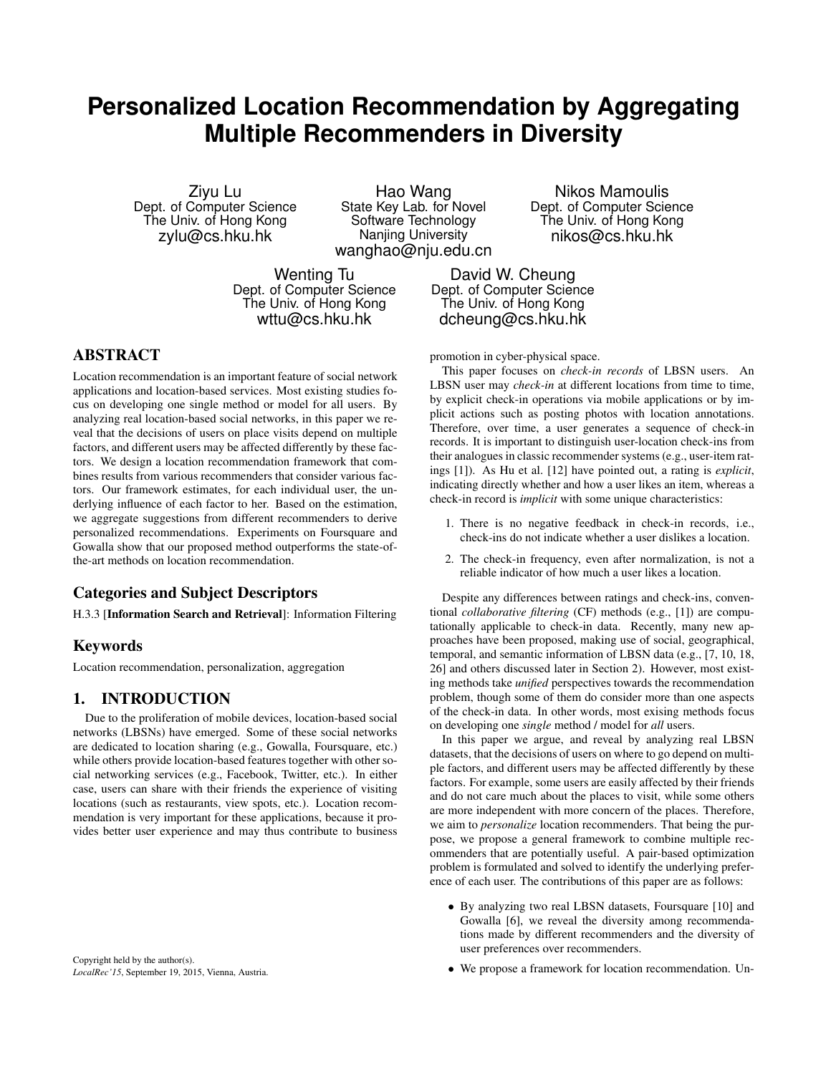# **Personalized Location Recommendation by Aggregating Multiple Recommenders in Diversity**

Ziyu Lu Dept. of Computer Science The Univ. of Hong Kong zylu@cs.hku.hk

Hao Wang State Key Lab. for Novel Software Technology Nanjing University wanghao@nju.edu.cn

Nikos Mamoulis Dept. of Computer Science The Univ. of Hong Kong nikos@cs.hku.hk

Wenting Tu Dept. of Computer Science The Univ. of Hong Kong wttu@cs.hku.hk

David W. Cheung Dept. of Computer Science The Univ. of Hong Kong dcheung@cs.hku.hk

ABSTRACT

Location recommendation is an important feature of social network applications and location-based services. Most existing studies focus on developing one single method or model for all users. By analyzing real location-based social networks, in this paper we reveal that the decisions of users on place visits depend on multiple factors, and different users may be affected differently by these factors. We design a location recommendation framework that combines results from various recommenders that consider various factors. Our framework estimates, for each individual user, the underlying influence of each factor to her. Based on the estimation, we aggregate suggestions from different recommenders to derive personalized recommendations. Experiments on Foursquare and Gowalla show that our proposed method outperforms the state-ofthe-art methods on location recommendation.

# Categories and Subject Descriptors

H.3.3 [Information Search and Retrieval]: Information Filtering

# Keywords

Location recommendation, personalization, aggregation

## 1. INTRODUCTION

Due to the proliferation of mobile devices, location-based social networks (LBSNs) have emerged. Some of these social networks are dedicated to location sharing (e.g., Gowalla, Foursquare, etc.) while others provide location-based features together with other social networking services (e.g., Facebook, Twitter, etc.). In either case, users can share with their friends the experience of visiting locations (such as restaurants, view spots, etc.). Location recommendation is very important for these applications, because it provides better user experience and may thus contribute to business

promotion in cyber-physical space.

This paper focuses on *check-in records* of LBSN users. An LBSN user may *check-in* at different locations from time to time, by explicit check-in operations via mobile applications or by implicit actions such as posting photos with location annotations. Therefore, over time, a user generates a sequence of check-in records. It is important to distinguish user-location check-ins from their analogues in classic recommender systems (e.g., user-item ratings [1]). As Hu et al. [12] have pointed out, a rating is *explicit*, indicating directly whether and how a user likes an item, whereas a check-in record is *implicit* with some unique characteristics:

- 1. There is no negative feedback in check-in records, i.e., check-ins do not indicate whether a user dislikes a location.
- 2. The check-in frequency, even after normalization, is not a reliable indicator of how much a user likes a location.

Despite any differences between ratings and check-ins, conventional *collaborative filtering* (CF) methods (e.g., [1]) are computationally applicable to check-in data. Recently, many new approaches have been proposed, making use of social, geographical, temporal, and semantic information of LBSN data (e.g., [7, 10, 18, 26] and others discussed later in Section 2). However, most existing methods take *unified* perspectives towards the recommendation problem, though some of them do consider more than one aspects of the check-in data. In other words, most exising methods focus on developing one *single* method / model for *all* users.

In this paper we argue, and reveal by analyzing real LBSN datasets, that the decisions of users on where to go depend on multiple factors, and different users may be affected differently by these factors. For example, some users are easily affected by their friends and do not care much about the places to visit, while some others are more independent with more concern of the places. Therefore, we aim to *personalize* location recommenders. That being the purpose, we propose a general framework to combine multiple recommenders that are potentially useful. A pair-based optimization problem is formulated and solved to identify the underlying preference of each user. The contributions of this paper are as follows:

- By analyzing two real LBSN datasets, Foursquare [10] and Gowalla [6], we reveal the diversity among recommendations made by different recommenders and the diversity of user preferences over recommenders.
- We propose a framework for location recommendation. Un-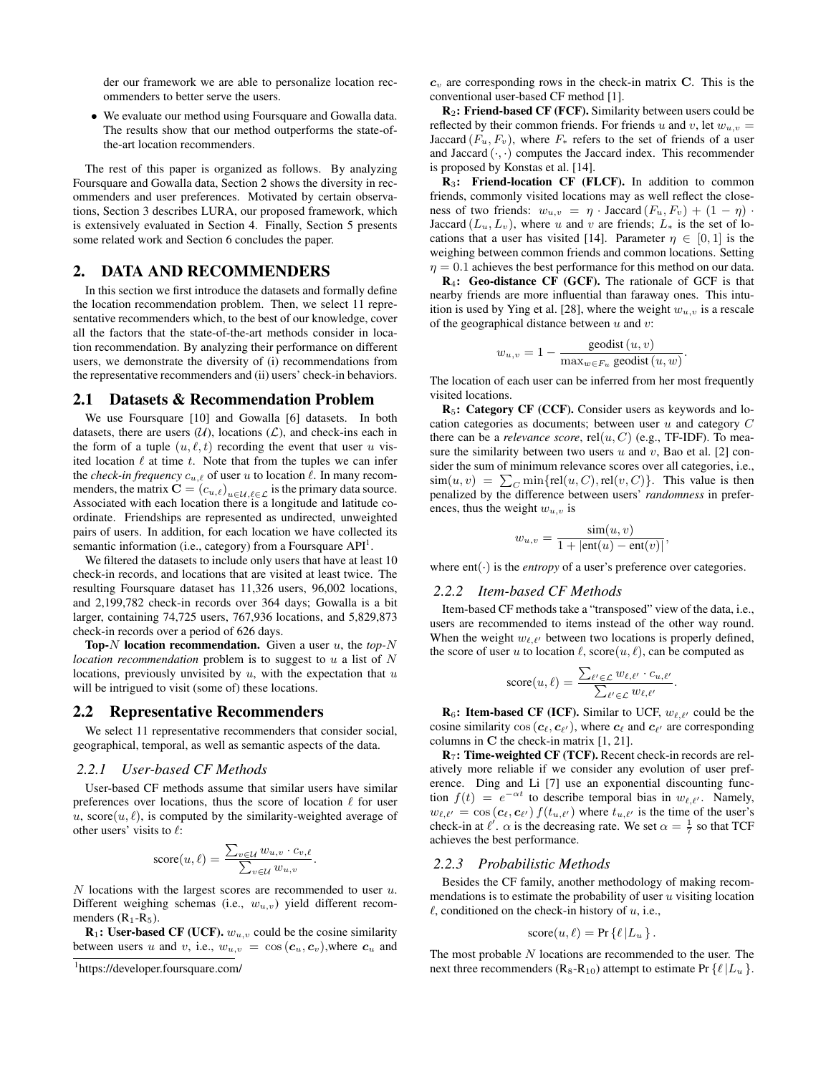der our framework we are able to personalize location recommenders to better serve the users.

• We evaluate our method using Foursquare and Gowalla data. The results show that our method outperforms the state-ofthe-art location recommenders.

The rest of this paper is organized as follows. By analyzing Foursquare and Gowalla data, Section 2 shows the diversity in recommenders and user preferences. Motivated by certain observations, Section 3 describes LURA, our proposed framework, which is extensively evaluated in Section 4. Finally, Section 5 presents some related work and Section 6 concludes the paper.

## 2. DATA AND RECOMMENDERS

In this section we first introduce the datasets and formally define the location recommendation problem. Then, we select 11 representative recommenders which, to the best of our knowledge, cover all the factors that the state-of-the-art methods consider in location recommendation. By analyzing their performance on different users, we demonstrate the diversity of (i) recommendations from the representative recommenders and (ii) users' check-in behaviors.

#### 2.1 Datasets & Recommendation Problem

We use Foursquare [10] and Gowalla [6] datasets. In both datasets, there are users  $(\mathcal{U})$ , locations  $(\mathcal{L})$ , and check-ins each in the form of a tuple  $(u, \ell, t)$  recording the event that user u visited location  $\ell$  at time  $t$ . Note that from the tuples we can infer the *check-in frequency*  $c_{u,\ell}$  of user u to location  $\ell$ . In many recommenders, the matrix  $\mathbf{C} = (c_{u,\ell})_{u \in \mathcal{U}, \ell \in \mathcal{L}}$  is the primary data source. Associated with each location there is a longitude and latitude coordinate. Friendships are represented as undirected, unweighted pairs of users. In addition, for each location we have collected its semantic information (i.e., category) from a Foursquare  $API<sup>1</sup>$ .

We filtered the datasets to include only users that have at least 10 check-in records, and locations that are visited at least twice. The resulting Foursquare dataset has 11,326 users, 96,002 locations, and 2,199,782 check-in records over 364 days; Gowalla is a bit larger, containing 74,725 users, 767,936 locations, and 5,829,873 check-in records over a period of 626 days.

Top-N location recommendation. Given a user u, the *top-*N *location recommendation* problem is to suggest to u a list of N locations, previously unvisited by  $u$ , with the expectation that  $u$ will be intrigued to visit (some of) these locations.

#### 2.2 Representative Recommenders

We select 11 representative recommenders that consider social, geographical, temporal, as well as semantic aspects of the data.

#### *2.2.1 User-based CF Methods*

User-based CF methods assume that similar users have similar preferences over locations, thus the score of location  $\ell$  for user u, score $(u, \ell)$ , is computed by the similarity-weighted average of other users' visits to  $\ell$ :

score
$$
(u, \ell)
$$
 = 
$$
\frac{\sum_{v \in \mathcal{U}} w_{u,v} \cdot c_{v,\ell}}{\sum_{v \in \mathcal{U}} w_{u,v}}.
$$

 $N$  locations with the largest scores are recommended to user  $u$ . Different weighing schemas (i.e.,  $w_{u,v}$ ) yield different recommenders  $(R_1-R_5)$ .

 $$ between users u and v, i.e.,  $w_{u,v} = \cos(c_u, c_v)$ , where  $c_u$  and  $c_v$  are corresponding rows in the check-in matrix C. This is the conventional user-based CF method [1].

R2: Friend-based CF (FCF). Similarity between users could be reflected by their common friends. For friends u and v, let  $w_{u,v}$  = Jaccard  $(F_u, F_v)$ , where  $F_*$  refers to the set of friends of a user and Jaccard  $(\cdot, \cdot)$  computes the Jaccard index. This recommender is proposed by Konstas et al. [14].

R<sub>3</sub>: Friend-location CF (FLCF). In addition to common friends, commonly visited locations may as well reflect the closeness of two friends:  $w_{u,v} = \eta \cdot \text{Jaccard}(F_u, F_v) + (1 - \eta) \cdot$ Jaccard  $(L_u, L_v)$ , where u and v are friends;  $L_*$  is the set of locations that a user has visited [14]. Parameter  $\eta \in [0,1]$  is the weighing between common friends and common locations. Setting  $\eta = 0.1$  achieves the best performance for this method on our data.

R4: Geo-distance CF (GCF). The rationale of GCF is that nearby friends are more influential than faraway ones. This intuition is used by Ying et al. [28], where the weight  $w_{u,v}$  is a rescale of the geographical distance between  $u$  and  $v$ :

$$
w_{u,v} = 1 - \frac{\text{geodist}(u,v)}{\max_{w \in F_u} \text{geodist}(u,w)}.
$$

The location of each user can be inferred from her most frequently visited locations.

R5: Category CF (CCF). Consider users as keywords and location categories as documents; between user  $u$  and category  $C$ there can be a *relevance score*,  $rel(u, C)$  (e.g., TF-IDF). To measure the similarity between two users  $u$  and  $v$ , Bao et al. [2] consider the sum of minimum relevance scores over all categories, i.e.,  $\text{sim}(u, v) = \sum_{C} \min\{\text{rel}(u, C), \text{rel}(v, C)\}.$  This value is then penalized by the difference between users' *randomness* in preferences, thus the weight  $w_{u,v}$  is

$$
w_{u,v} = \frac{\sin(u,v)}{1+|\text{ent}(u)-\text{ent}(v)|},
$$

where  $ent(\cdot)$  is the *entropy* of a user's preference over categories.

#### *2.2.2 Item-based CF Methods*

Item-based CF methods take a "transposed" view of the data, i.e., users are recommended to items instead of the other way round. When the weight  $w_{\ell,\ell'}$  between two locations is properly defined, the score of user u to location  $\ell$ , score $(u, \ell)$ , can be computed as

$$
score(u,\ell) = \frac{\sum_{\ell' \in \mathcal{L}} w_{\ell,\ell'} \cdot c_{u,\ell'}}{\sum_{\ell' \in \mathcal{L}} w_{\ell,\ell'}}.
$$

 $\mathbf{R}_6$ : Item-based CF (ICF). Similar to UCF,  $w_{\ell,\ell'}$  could be the cosine similarity  $\cos(c_\ell, c_{\ell'})$ , where  $c_\ell$  and  $c_{\ell'}$  are corresponding columns in C the check-in matrix [1, 21].

R7: Time-weighted CF (TCF). Recent check-in records are relatively more reliable if we consider any evolution of user preference. Ding and Li [7] use an exponential discounting function  $f(t) = e^{-\alpha t}$  to describe temporal bias in  $w_{\ell,\ell'}$ . Namely,  $w_{\ell,\ell'} = \cos(c_\ell, c_{\ell'}) f(t_{u,\ell'})$  where  $t_{u,\ell'}$  is the time of the user's check-in at  $\ell'$ .  $\alpha$  is the decreasing rate. We set  $\alpha = \frac{1}{7}$  so that TCF achieves the best performance.

#### *2.2.3 Probabilistic Methods*

Besides the CF family, another methodology of making recommendations is to estimate the probability of user  $u$  visiting location  $\ell$ , conditioned on the check-in history of u, i.e.,

score
$$
(u, \ell)
$$
 = Pr $\{\ell | L_u\}$ .

The most probable  $N$  locations are recommended to the user. The next three recommenders (R<sub>8</sub>-R<sub>10</sub>) attempt to estimate Pr { $\ell |L_u$  }.

<sup>1</sup> https://developer.foursquare.com/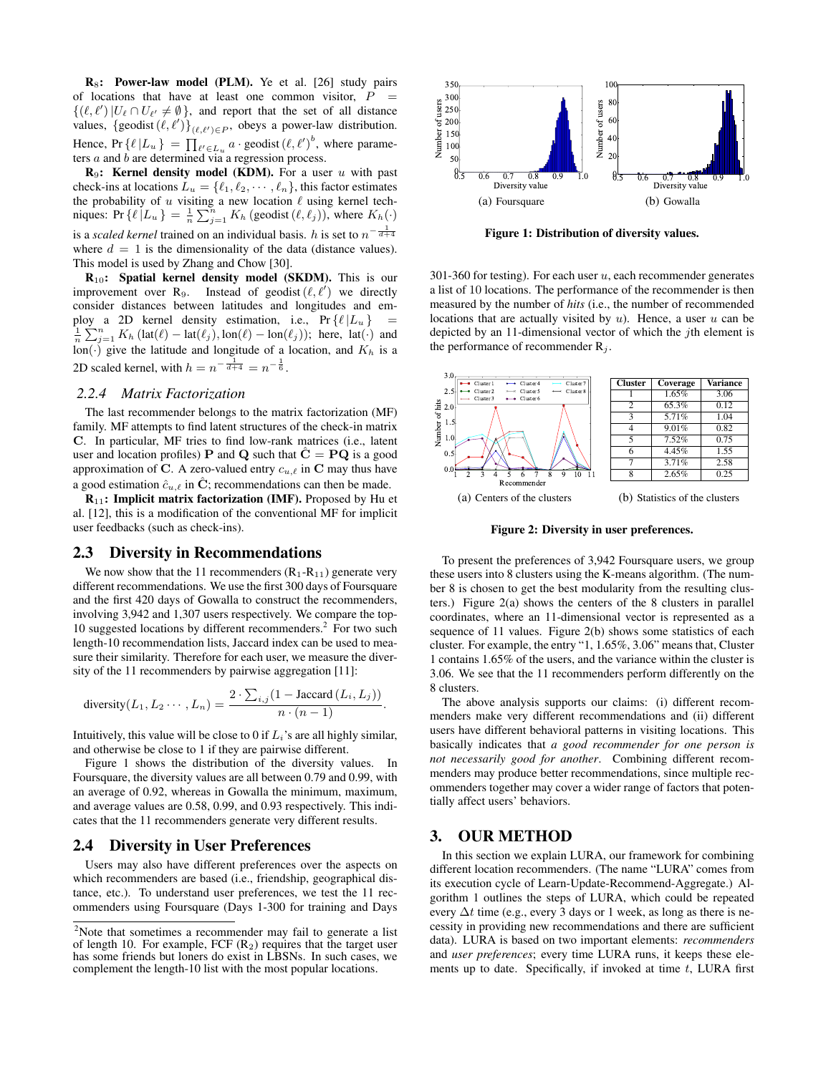$$ of locations that have at least one common visitor,  $P =$  $\{(\ell, \ell') | U_{\ell} \cap U_{\ell'} \neq \emptyset\}$ , and report that the set of all distance  $\frac{5}{2}$  and  $\frac{250}{200}$ values,  $\{\text{geodist}(\ell, \ell')\}_{(\ell, \ell') \in P}$ , obeys a power-law distribution.  $\frac{5}{5}$  200  $\frac{1}{5}$  150 Hence,  $Pr\{\ell | L_u\} = \prod_{\ell' \in L_u} a \cdot \text{geodist}(\ell, \ell')^b$ , where parame-<br> $\frac{2}{\frac{1}{2}}$  is our ters  $a$  and  $b$  are determined via a regression process.  $\vec{z}$  in  $\vec{z}$  in  $\vec{z}$  in  $\vec{z}$  instead of  $\vec{z}$  instead of  $\vec{z}$  instead of  $\vec{z}$  instead of  $\vec{z}$  in  $\vec{z}$  in  $\vec{z}$  in  $\vec{z}$  in  $\vec{z}$  in  $\vec{z}$  in  $\vec{z}$  in  $\vec{z}$  in  $\vec{z}$  in  $\vec{z}$  in  $\$ 

 $\mathbf{R}_9$ : Kernel density model (KDM). For a user u with past  $\begin{array}{r} 0 \overline{5} & 0.6 & 0.7 & 0.8 \\ \hline \end{array}$ check-ins at locations  $L_u = \{\ell_1, \ell_2, \cdots, \ell_n\}$ , this factor estimates Diversity of the probability of u visiting a new location  $\ell$  using kernel techniques: Pr  $\{\ell | L_u \} = \frac{1}{n} \sum_{j=1}^n K_h$  (geodist  $(\ell, \ell_j)$ ), where  $K_h(\cdot)$ is a *scaled kernel* trained on an individual basis. *h* is set to  $n^{-\frac{1}{d+4}}$ where  $d = 1$  is the dimensionality of the data (distance values). This model is used by Zhang and Chow [30]. on  $\ell$  using kernel tech-<br>  $\ell(\ell, \ell_1)$ ), where  $K_1(\ell_1)$  (a) Foursqu  $\alpha$  at a functure  $\alpha$  and  $\beta$ .  $\mathcal{Y}$ . In particular, MF tries to find low-rank matrices (i.e., latential  $\mathcal{Y}$ 

 $R_{10}$ : Spatial kernel density model (SKDM). This is our improvement over R<sub>9</sub>. Instead of geodist  $(\ell, \ell')$  we directly consider distances between latitudes and longitudes and em-<br>
Reasured by the nun ploy a 2D kernel density estimation, i.e.,  $Pr\{ \ell | L_u \}$  = locations that are ac  $\frac{1}{n}\sum_{j=1}^{n} K_h(\text{lat}(\ell) - \text{lat}(\ell_j), \text{lon}(\ell) - \text{lon}(\ell_j));$  here,  $\text{lat}(\cdot)$  and lon( $\cdot$ ) give the latitude and longitude of a location, and  $K_h$  is a the perform 2D scaled kernel, with  $h = n^{-\frac{1}{d+4}} = n^{-\frac{1}{6}}$ .

#### *2.2.4 Matrix Factorization*

The last recommender belongs to the matrix factorization (MF) N suggested locations by different recommenders, for N = 10. family. MF attempts to find latent structures of the check-in matrix  $\frac{5}{2}$  i.s C. In particular, MF tries to find low-rank matrices (i.e., latent  $\frac{1}{2}$   $\frac{10}{\sqrt{N}}$ user and location profiles) P and Q such that  $\hat{C} = PQ$  is a good approximation of C. A zero-valued entry  $c_{u,\ell}$  in C may thus have a good estimation  $\hat{c}_{u,\ell}$  in  $\hat{C}$ ; recommendations can then be made.

**: Implicit matrix factorization (IMF). Proposed by Hu et (a) Centers of th** al.  $[12]$ , this is a modification of the conventional MF for implicit user feedbacks (such as check-ins). Figure 1 shows the distribution of distribution of distribution of  $\frac{1}{2}$ 

## 2.3 Diversity in Recommendations  $\Gamma_{\text{O, present the tree}}$

We now show that the 11 recommenders  $(R_1-R_{11})$  generate very these users into 8 cl different recommendations. We use the first 300 days of Foursquare and the first 420 days of Gowalla to construct the recommenders,  $\text{ters.}$  [ers.] involving 3,942 and 1,307 users respectively. We compare the top-10 suggested locations by different recommenders.<sup>2</sup> For two such sequence of 11 value length-10 recommendation lists, Jaccard index can be used to measure their similarity. Therefore for each user, we measure the diver-<br>1 contains  $1.65\%$  of t sity of the 11 recommenders by pairwise aggregation [11]:

diversity
$$
(L_1, L_2 \cdots, L_n)
$$
 = 
$$
\frac{2 \cdot \sum_{i,j} (1 - \text{Jaccard} (L_i, L_j))}{n \cdot (n-1)}.
$$

Intuitively, this value will be close to 0 if  $L_i$ 's are all highly similar, and otherwise be close to 1 if they are pairwise different.

Figure 1 shows the distribution of the diversity values. In Foursquare, the diversity values are all between 0.79 and 0.99, with an average of 0.92, whereas in Gowalla the minimum, maximum, and average values are 0.58, 0.99, and 0.93 respectively. This indicates that the 11 recommenders generate very different results.

#### 2.4 Diversity in User Preferences

Users may also have different preferences over the aspects on which recommenders are based (i.e., friendship, geographical distance, etc.). To understand user preferences, we test the 11 recommenders using Foursquare (Days 1-300 for training and Days



Figure 1: Distribution of diversity values.

data (distance values).<br>  $\textbf{S}$ .<br>
(SKDM). This is our 301-360 for testing). For each user u, each recommender generates dist  $(\ell, \ell')$  we directly a list of 10 locations. The performance of the recommender is then d longitudes and em-<br>d longitudes and em-<br>d longitudes and em-<br>d longitudes can then be made. The particle is the number of recommended. locations that are actually visited by  $u$ ). Hence, a user  $u$  can be depicted by an 11-dimensional vector of which the jth element is the performance of recommender  $R_i$ .  $\mathcal{L}_i$ .



 $s_{\text{max}}$  are all distribution of the Figure 2: Diversity in user preferences. Figure 2: Diversity in user preferences.

**ations** To present the preferences of 3,942 Foursquare users, we group ct the recommenders, ters.) Figure 2(a) shows the centers of the 8 clusters in parallel ly. We compare the top-coordinates, where an 11-dimensional vector is represented as a dex can be used to mea-cluster. For example, the entry "1, 1.65%, 3.06" means that, Cluster r, we measure the diver-<br>1 contains 1.65% of the users, and the variance within the cluster is ggregation [11]:  $3.06$ . We see that the 11 recommenders perform differently on the To present the preferences of 3,942 Foursquare users, we group these users into 8 clusters using the K-means algorithm. (The number 8 is chosen to get the best modularity from the resulting clusters.) Figure  $2(a)$  shows the centers of the 8 clusters in parallel sequence of 11 values. Figure 2(b) shows some statistics of each cluster. For example, the entry "1,  $1.65\%$ ,  $3.06$ " means that, Cluster 8 clusters.

> The above analysis supports our claims: (i) different recommenders make very different recommendations and (ii) different users have different behavioral patterns in visiting locations. This basically indicates that *a good recommender for one person is not necessarily good for another*. Combining different recommenders may produce better recommendations, since multiple recommenders together may cover a wider range of factors that potentially affect users' behaviors.

## 3. OUR METHOD

In this section we explain LURA, our framework for combining different location recommenders. (The name "LURA" comes from its execution cycle of Learn-Update-Recommend-Aggregate.) Algorithm 1 outlines the steps of LURA, which could be repeated every  $\Delta t$  time (e.g., every 3 days or 1 week, as long as there is necessity in providing new recommendations and there are sufficient data). LURA is based on two important elements: *recommenders* and *user preferences*; every time LURA runs, it keeps these elements up to date. Specifically, if invoked at time  $t$ , LURA first

<sup>&</sup>lt;sup>2</sup>Note that sometimes a recommender may fail to generate a list of length 10. For example, FCF  $(R_2)$  requires that the target user has some friends but loners do exist in LBSNs. In such cases, we complement the length-10 list with the most popular locations.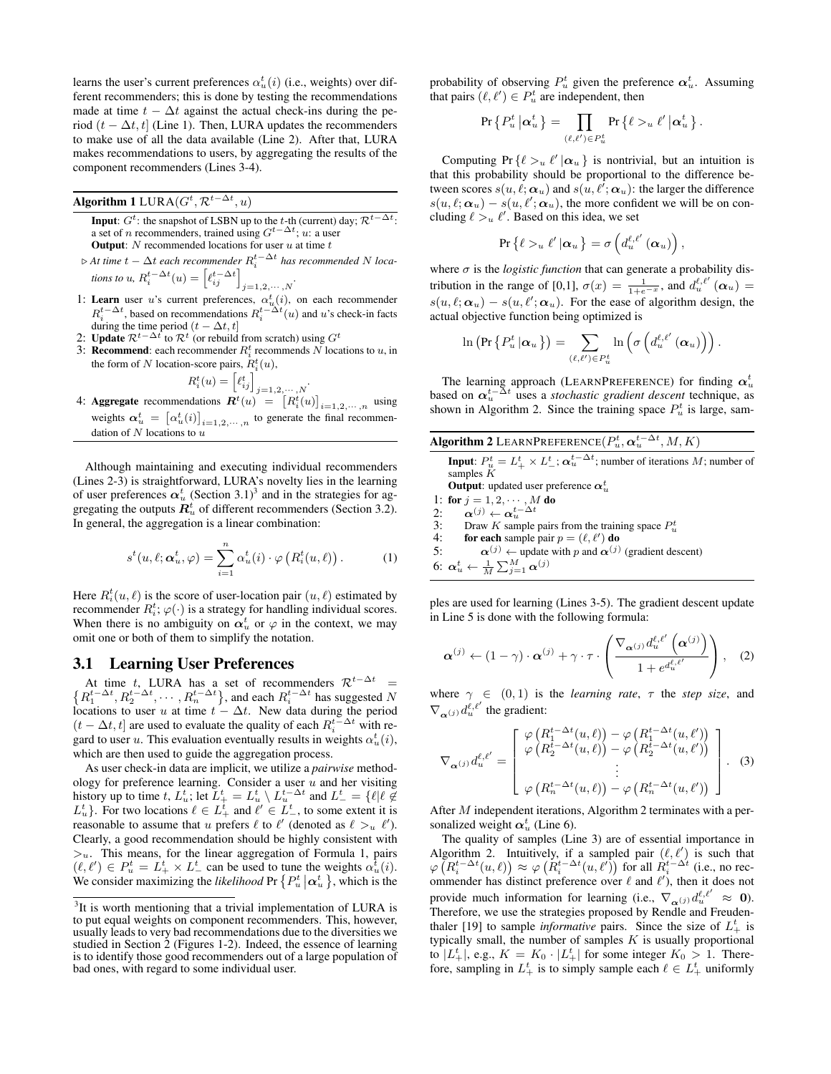learns the user's current preferences  $\alpha_u^t(i)$  (i.e., weights) over different recommenders; this is done by testing the recommendations made at time  $t - \Delta t$  against the actual check-ins during the period ( $t - \Delta t$ , t] (Line 1). Then, LURA updates the recommenders to make use of all the data available (Line 2). After that, LURA makes recommendations to users, by aggregating the results of the component recommenders (Lines 3-4).

# **Algorithm 1** LURA $(G^t, \mathcal{R}^{t-\Delta t}, u)$

- **Input**:  $G^t$ : the snapshot of LSBN up to the t-th (current) day;  $\mathcal{R}^{t-\Delta t}$ : a set of *n* recommenders, trained using  $G^{t-\Delta t}$ ; u: a user **Output:**  $N$  recommended locations for user  $u$  at time  $t$
- $\triangleright$  At time  $t \Delta t$  each recommender  $R_i^{t- \Delta t}$  has recommended N *locations to* u,  $R_i^{t-\Delta t}(u) = \left[\ell_{ij}^{t-\Delta t}\right]_{j=1,2,\cdots,N}$ .
- 1: Learn user u's current preferences,  $\alpha_u^t(i)$ , on each recommender  $R_i^{t-\Delta t}$ , based on recommendations  $R_i^{t-\Delta t}(u)$  and u's check-in facts during the time period  $(t - \Delta t, t]$
- 2: Update  $\mathcal{R}^{t-\Delta t}$  to  $\mathcal{R}^t$  (or rebuild from scratch) using  $G^t$
- 3: **Recommend**: each recommender  $R_i^t$  recommends N locations to u, in the form of N location-score pairs,  $R_i^t(u)$ ,

$$
R_i^t(u) = \left[\ell_{ij}^t\right]_{j=1,2,\cdots}
$$

*.*

4: Aggregate recommendations  $\mathbf{R}^{t}(u) = \left[R_{i}^{t}(u)\right]_{i=1,2,\dots,n}$  using ignition  $\alpha_u^t = [\alpha_u^t(i)]_{i=1,2,\dots,n}$  to generate the final recommensions dation of  $N$  locations to  $u$ 

Although maintaining and executing individual recommenders (Lines 2-3) is straightforward, LURA's novelty lies in the learning of user preferences  $\alpha_u^t$  (Section 3.1)<sup>3</sup> and in the strategies for aggregating the outputs  $\mathbf{R}^t_u$  of different recommenders (Section 3.2). In general, the aggregation is a linear combination:

$$
s^t(u,\ell;\boldsymbol{\alpha}_u^t,\varphi) = \sum_{i=1}^n \alpha_u^t(i) \cdot \varphi\left(R_i^t(u,\ell)\right). \tag{1}
$$

Here  $R_i^t(u, \ell)$  is the score of user-location pair  $(u, \ell)$  estimated by recommender  $R_i^t$ ;  $\varphi(\cdot)$  is a strategy for handling individual scores. When there is no ambiguity on  $\alpha_u^t$  or  $\varphi$  in the context, we may omit one or both of them to simplify the notation.

#### 3.1 Learning User Preferences

At time t, LURA has a set of recommenders  $\mathcal{R}^{t-\Delta t}$  = At time t, LURA has a set of recommenders  $\mathcal{R}^{t-\Delta t}$  =  $\{R_1^{t-\Delta t}, R_2^{t-\Delta t}, \cdots, R_n^{t-\Delta t}\}$ , and each  $R_i^{t-\Delta t}$  has suggested N locations to user u at time  $t - \Delta t$ . New data during the period  $(t - \Delta t, t]$  are used to evaluate the quality of each  $R_i^{t-\Delta t}$  with regard to user u. This evaluation eventually results in weights  $\alpha_u^t(i)$ , which are then used to guide the aggregation process.

As user check-in data are implicit, we utilize a *pairwise* methodology for preference learning. Consider a user  $u$  and her visiting history up to time  $t$ ,  $L_{u}^{t}$ ; let  $L_{+}^{t} = L_{u}^{t} \setminus L_{u}^{t-\Delta t}$  and  $L_{-}^{t} = \{ \ell | \ell \notin L_{u}^{t} \}$ . For two locations  $\ell \in L_{+}^{t}$  and  $\ell' \in L_{-}^{t}$ , to some extent it is reasonable to assume that u prefers  $\ell$  to  $\ell'$  (denoted as  $\ell >_u \ell'$ ). Clearly, a good recommendation should be highly consistent with  $>u$ . This means, for the linear aggregation of Formula 1, pairs  $(\ell, \ell') \in P_u^t = L_+^t \times L_-^t$  can be used to tune the weights  $\alpha_u^t(i)$ . We consider maximizing the *likelihood* Pr  $\{P_u^t | \alpha_u^t\}$ , which is the

probability of observing  $P_u^t$  given the preference  $\boldsymbol{\alpha}_u^t$ . Assuming that pairs  $(\ell, \ell') \in P_u^t$  are independent, then

$$
\Pr\left\{P_u^t\left|\pmb{\alpha}_u^t\right.\right\} = \prod_{(\ell,\ell')\in P_u^t} \Pr\left\{\ell >_u \ell'\left|\pmb{\alpha}_u^t\right.\right\}.
$$

Computing Pr  $\{\ell >_u \ell' | \alpha_u\}$  is nontrivial, but an intuition is that this probability should be proportional to the difference between scores  $s(u, \ell; \boldsymbol{\alpha}_u)$  and  $s(u, \ell'; \boldsymbol{\alpha}_u)$ : the larger the difference  $s(u, \ell; \alpha_u) - s(u, \ell'; \alpha_u)$ , the more confident we will be on concluding  $\ell >_u \ell'$ . Based on this idea, we set

$$
\Pr\left\{\ell >_{u} \ell' \left|\bm{\alpha}_{u}\right.\right\} = \sigma\left(d_{u}^{\ell,\ell'}\left(\bm{\alpha}_{u}\right)\right),
$$

where  $\sigma$  is the *logistic function* that can generate a probability distribution in the range of [0,1],  $\sigma(x) = \frac{1}{1+e^{-x}}$ , and  $d_u^{\ell,\ell'}(\alpha_u) =$  $s(u, \ell; \alpha_u) - s(u, \ell'; \alpha_u)$ . For the ease of algorithm design, the actual objective function being optimized is

$$
\ln\left(\Pr\left\{P^t_u\left|\pmb{\alpha}_u\right.\right\}\right)=\sum_{(\ell,\ell')\in P^t_u}\ln\left(\sigma\left(d^{\ell,\ell'}_u\left(\pmb{\alpha}_u\right)\right)\right).
$$

The learning approach (LEARNPREFERENCE) for finding  $\boldsymbol{\alpha}^t_u$ based on  $\alpha_u^{t-\Delta t}$  uses a *stochastic gradient descent* technique, as shown in Algorithm 2. Since the training space  $P_u^t$  is large, sam-

| <b>Algorithm 2</b> LEARNPREFERENCE( $P_u^t$ , $\boldsymbol{\alpha}_u^{t-\Delta t}$ , M, K)                                                                                     |
|--------------------------------------------------------------------------------------------------------------------------------------------------------------------------------|
| <b>Input:</b> $P_u^t = L_+^t \times L_-^t$ ; $\alpha_u^{t-\Delta t}$ ; number of iterations M; number of<br>samples $K$<br><b>Output:</b> updated user preference $\alpha_u^t$ |
| 1: for $j = 1, 2, \cdots, M$ do                                                                                                                                                |
| 2: $\alpha^{(j)} \leftarrow \alpha^{t-\Delta t}$                                                                                                                               |
| 3:<br>Draw K sample pairs from the training space $P_u^t$                                                                                                                      |
|                                                                                                                                                                                |

- 4: for each sample pair  $p = (\ell, \ell')$  do
- 5:  $\alpha^{(j)} \leftarrow$  update with p and  $\alpha^{(j)}$  (gradient descent) 6:  $\boldsymbol{\alpha}^t_u \leftarrow \frac{1}{M}\sum_{j=1}^M \boldsymbol{\alpha}^{(j)}$

ples are used for learning (Lines 3-5). The gradient descent update in Line 5 is done with the following formula:

$$
\boldsymbol{\alpha}^{(j)} \leftarrow (1-\gamma) \cdot \boldsymbol{\alpha}^{(j)} + \gamma \cdot \tau \cdot \left( \frac{\nabla_{\boldsymbol{\alpha}^{(j)}} d_u^{\ell,\ell'} \left( \boldsymbol{\alpha}^{(j)} \right)}{1 + e^{d_u^{\ell,\ell'}}} \right), \quad (2)
$$

where  $\gamma \in (0,1)$  is the *learning rate*,  $\tau$  the *step size*, and  $\nabla_{\boldsymbol{\alpha}(j)} d^{\ell,\ell'}_{u}$  the gradient:

$$
\nabla_{\alpha^{(j)}} d_u^{\ell,\ell'} = \begin{bmatrix} \varphi\left(R_1^{t-\Delta t}(u,\ell)\right) - \varphi\left(R_1^{t-\Delta t}(u,\ell')\right) \\ \varphi\left(R_2^{t-\Delta t}(u,\ell)\right) - \varphi\left(R_2^{t-\Delta t}(u,\ell')\right) \\ \vdots \\ \varphi\left(R_n^{t-\Delta t}(u,\ell)\right) - \varphi\left(R_n^{t-\Delta t}(u,\ell')\right) \end{bmatrix} . \quad (3)
$$

After M independent iterations, Algorithm 2 terminates with a personalized weight  $\alpha_u^t$  (Line 6).

The quality of samples (Line 3) are of essential importance in Algorithm 2. Intuitively, if a sampled pair  $(\ell, \ell')$  is such that  $\varphi\left(R_i^{t-\Delta t}(u,\ell)\right) \approx \varphi\left(R_i^{t-\Delta t}(u,\ell')\right)$  for all  $R_i^{t-\Delta t}$  (i.e., no recommender has distinct preference over  $\ell$  and  $\ell'$ ), then it does not provide much information for learning (i.e.,  $\nabla_{\alpha}(i) d_u^{\ell,\ell'} \approx 0$ ). Therefore, we use the strategies proposed by Rendle and Freudenthaler [19] to sample *informative* pairs. Since the size of  $L_+^t$  is typically small, the number of samples  $K$  is usually proportional to  $|L_+^t|$ , e.g.,  $K = K_0 \cdot |L_+^t|$  for some integer  $K_0 > 1$ . Therefore, sampling in  $L_+^t$  is to simply sample each  $\ell \in L_+^t$  uniformly

 $3$ It is worth mentioning that a trivial implementation of LURA is to put equal weights on component recommenders. This, however, usually leads to very bad recommendations due to the diversities we studied in Section 2 (Figures 1-2). Indeed, the essence of learning is to identify those good recommenders out of a large population of bad ones, with regard to some individual user.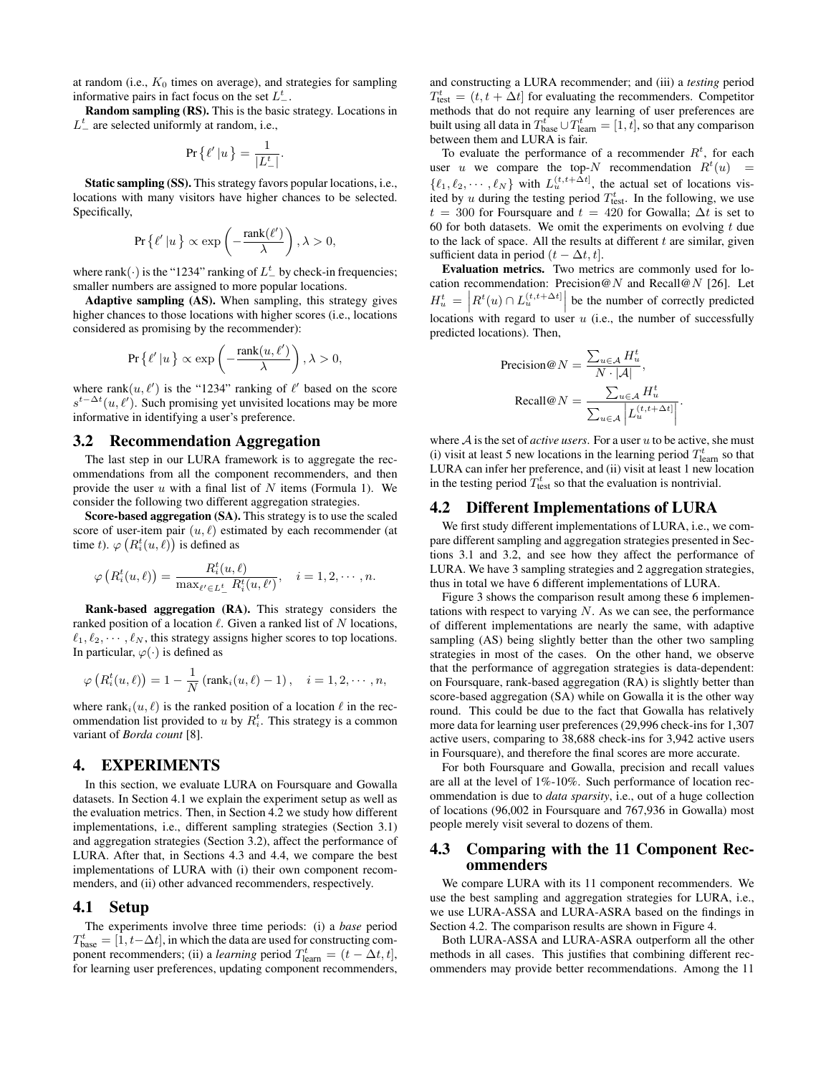at random (i.e.,  $K_0$  times on average), and strategies for sampling informative pairs in fact focus on the set  $L_{-}^{t}$ .

Random sampling (RS). This is the basic strategy. Locations in  $L^t_-$  are selected uniformly at random, i.e.,

$$
\Pr\left\{\ell'\left|u\right.\right\} = \frac{1}{|L_{-}^{t}|}.
$$

Static sampling (SS). This strategy favors popular locations, i.e., locations with many visitors have higher chances to be selected. Specifically,

$$
\Pr\left\{\ell'\left|u\right.\right\}\propto\exp\left(-\frac{\mathrm{rank}(\ell')}{\lambda}\right),\lambda>0,
$$

where rank(·) is the "1234" ranking of  $L^t$  by check-in frequencies; smaller numbers are assigned to more popular locations.

Adaptive sampling (AS). When sampling, this strategy gives higher chances to those locations with higher scores (i.e., locations considered as promising by the recommender):

$$
\Pr\left\{\ell'\left|u\right.\right\}\propto\exp\left(-\frac{\mathrm{rank}(u,\ell')}{\lambda}\right),\lambda>0,
$$

where rank $(u, \ell')$  is the "1234" ranking of  $\ell'$  based on the score  $s^{t-\Delta t}(u, \ell')$ . Such promising yet unvisited locations may be more informative in identifying a user's preference.

## 3.2 Recommendation Aggregation

The last step in our LURA framework is to aggregate the recommendations from all the component recommenders, and then provide the user  $u$  with a final list of  $N$  items (Formula 1). We consider the following two different aggregation strategies.

Score-based aggregation (SA). This strategy is to use the scaled score of user-item pair  $(u, \ell)$  estimated by each recommender (at time t).  $\varphi\left(R_i^t(u,\ell)\right)$  is defined as

$$
\varphi\left(R_i^t(u,\ell)\right) = \frac{R_i^t(u,\ell)}{\max_{\ell' \in L_-^t} R_i^t(u,\ell')}, \quad i = 1,2,\cdots,n.
$$

Rank-based aggregation (RA). This strategy considers the ranked position of a location  $\ell$ . Given a ranked list of N locations,  $\ell_1, \ell_2, \cdots, \ell_N$ , this strategy assigns higher scores to top locations. In particular,  $\varphi(\cdot)$  is defined as

$$
\varphi\left(R_i^t(u,\ell)\right)=1-\frac{1}{N}\left(\text{rank}_i(u,\ell)-1\right), \quad i=1,2,\cdots,n,
$$

where rank<sub>i</sub> $(u, \ell)$  is the ranked position of a location  $\ell$  in the recommendation list provided to u by  $R_i^t$ . This strategy is a common variant of *Borda count* [8].

#### 4. EXPERIMENTS

In this section, we evaluate LURA on Foursquare and Gowalla datasets. In Section 4.1 we explain the experiment setup as well as the evaluation metrics. Then, in Section 4.2 we study how different implementations, i.e., different sampling strategies (Section 3.1) and aggregation strategies (Section 3.2), affect the performance of LURA. After that, in Sections 4.3 and 4.4, we compare the best implementations of LURA with (i) their own component recommenders, and (ii) other advanced recommenders, respectively.

#### 4.1 Setup

The experiments involve three time periods: (i) a *base* period  $T_{\text{base}}^t = [1, t - \Delta t]$ , in which the data are used for constructing component recommenders; (ii) a *learning* period  $T_{\text{learn}}^t = (t - \Delta t, t]$ , for learning user preferences, updating component recommenders, and constructing a LURA recommender; and (iii) a *testing* period  $T_{\text{test}}^t = (t, t + \Delta t]$  for evaluating the recommenders. Competitor methods that do not require any learning of user preferences are built using all data in  $T_{\text{base}}^t \cup T_{\text{learn}}^t = [1, t]$ , so that any comparison between them and LURA is fair.

To evaluate the performance of a recommender  $R<sup>t</sup>$ , for each user u we compare the top-N recommendation  $R<sup>t</sup>(u)$  =  $\{\ell_1, \ell_2, \cdots, \ell_N\}$  with  $L_u^{(t,t+\Delta t]}$ , the actual set of locations visited by u during the testing period  $T_{\text{test}}^t$ . In the following, we use  $t = 300$  for Foursquare and  $t = 420$  for Gowalla;  $\Delta t$  is set to 60 for both datasets. We omit the experiments on evolving  $t$  due to the lack of space. All the results at different  $t$  are similar, given sufficient data in period  $(t - \Delta t, t]$ .

Evaluation metrics. Two metrics are commonly used for location recommendation: Precision@N and Recall@N [26]. Let  $H_u^t = \left| R^t(u) \cap L_u^{(t,t+\Delta t)} \right|$  be the number of correctly predicted locations with regard to user  $u$  (i.e., the number of successfully predicted locations). Then,

$$
\begin{aligned} \text{Precision@}N &= \frac{\sum_{u \in \mathcal{A}} H_u^t}{N \cdot |\mathcal{A}|}, \\ \text{Recall@}N &= \frac{\sum_{u \in \mathcal{A}} H_u^t}{\sum_{u \in \mathcal{A}} \left| L_u^{(t, t + \Delta t)} \right|} \end{aligned}
$$

.

where  $A$  is the set of *active users*. For a user  $u$  to be active, she must (i) visit at least 5 new locations in the learning period  $T_{\text{learn}}^t$  so that LURA can infer her preference, and (ii) visit at least 1 new location in the testing period  $T_{\text{test}}^t$  so that the evaluation is nontrivial.

## 4.2 Different Implementations of LURA

We first study different implementations of LURA, i.e., we compare different sampling and aggregation strategies presented in Sections 3.1 and 3.2, and see how they affect the performance of LURA. We have 3 sampling strategies and 2 aggregation strategies, thus in total we have 6 different implementations of LURA.

Figure 3 shows the comparison result among these 6 implementations with respect to varying  $N$ . As we can see, the performance of different implementations are nearly the same, with adaptive sampling (AS) being slightly better than the other two sampling strategies in most of the cases. On the other hand, we observe that the performance of aggregation strategies is data-dependent: on Foursquare, rank-based aggregation (RA) is slightly better than score-based aggregation (SA) while on Gowalla it is the other way round. This could be due to the fact that Gowalla has relatively more data for learning user preferences (29,996 check-ins for 1,307 active users, comparing to 38,688 check-ins for 3,942 active users in Foursquare), and therefore the final scores are more accurate.

For both Foursquare and Gowalla, precision and recall values are all at the level of 1%-10%. Such performance of location recommendation is due to *data sparsity*, i.e., out of a huge collection of locations (96,002 in Foursquare and 767,936 in Gowalla) most people merely visit several to dozens of them.

### 4.3 Comparing with the 11 Component Recommenders

We compare LURA with its 11 component recommenders. We use the best sampling and aggregation strategies for LURA, i.e., we use LURA-ASSA and LURA-ASRA based on the findings in Section 4.2. The comparison results are shown in Figure 4.

Both LURA-ASSA and LURA-ASRA outperform all the other methods in all cases. This justifies that combining different recommenders may provide better recommendations. Among the 11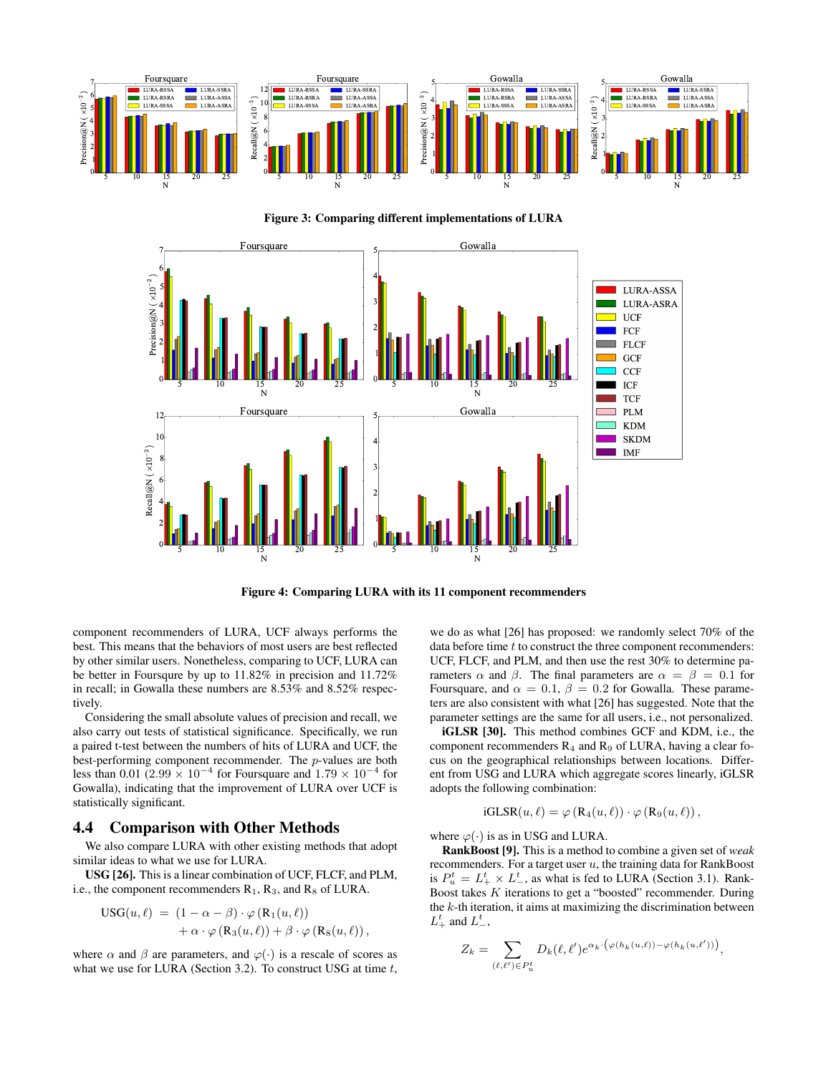

Figure 3: Comparing different implementations of LURA



Figure 4: Comparing LURA with its 11 component recommenders

component recommenders of LURA, UCF always performs the best. This means that the behaviors of most users are best reflected by other similar users. Nonetheless, comparing to UCF, LURA can be better in Foursqure by up to 11.82% in precision and 11.72% in recall; in Gowalla these numbers are 8.53% and 8.52% respectively.

Considering the small absolute values of precision and recall, we also carry out tests of statistical significance. Specifically, we run a paired t-test between the numbers of hits of LURA and UCF, the best-performing component recommender. The p-values are both less than 0.01 (2.99  $\times$  10<sup>-4</sup> for Foursquare and 1.79  $\times$  10<sup>-4</sup> for Gowalla), indicating that the improvement of LURA over UCF is statistically significant.

## 4.4 Comparison with Other Methods

We also compare LURA with other existing methods that adopt similar ideas to what we use for LURA.

USG [26]. This is a linear combination of UCF, FLCF, and PLM, i.e., the component recommenders  $R_1$ ,  $R_3$ , and  $R_8$  of LURA.

$$
USG(u, \ell) = (1 - \alpha - \beta) \cdot \varphi(R_1(u, \ell)) + \alpha \cdot \varphi(R_3(u, \ell)) + \beta \cdot \varphi(R_8(u, \ell)),
$$

where  $\alpha$  and  $\beta$  are parameters, and  $\varphi(\cdot)$  is a rescale of scores as what we use for LURA (Section 3.2). To construct USG at time  $t$ ,

we do as what [26] has proposed: we randomly select 70% of the data before time  $t$  to construct the three component recommenders: UCF, FLCF, and PLM, and then use the rest 30% to determine parameters  $\alpha$  and  $\beta$ . The final parameters are  $\alpha = \beta = 0.1$  for Foursquare, and  $\alpha = 0.1$ ,  $\beta = 0.2$  for Gowalla. These parameters are also consistent with what [26] has suggested. Note that the parameter settings are the same for all users, i.e., not personalized.

iGLSR [30]. This method combines GCF and KDM, i.e., the component recommenders  $R_4$  and  $R_9$  of LURA, having a clear focus on the geographical relationships between locations. Different from USG and LURA which aggregate scores linearly, iGLSR adopts the following combination:

iGLSR
$$
(u, \ell)
$$
 =  $\varphi$  (R<sub>4</sub> $(u, \ell)$ )  $\cdot \varphi$  (R<sub>9</sub> $(u, \ell)$ ),

where  $\varphi(\cdot)$  is as in USG and LURA.

RankBoost [9]. This is a method to combine a given set of *weak* recommenders. For a target user  $u$ , the training data for RankBoost is  $P_u^t = L_+^t \times L_-^t$ , as what is fed to LURA (Section 3.1). Rank-Boost takes K iterations to get a "boosted" recommender. During the  $k$ -th iteration, it aims at maximizing the discrimination between  $L_+^t$  and  $L_-^t$ ,

$$
Z_k = \sum_{(\ell,\ell') \in P_u^t} D_k(\ell,\ell') e^{\alpha_k \cdot (\varphi(h_k(u,\ell)) - \varphi(h_k(u,\ell')))},
$$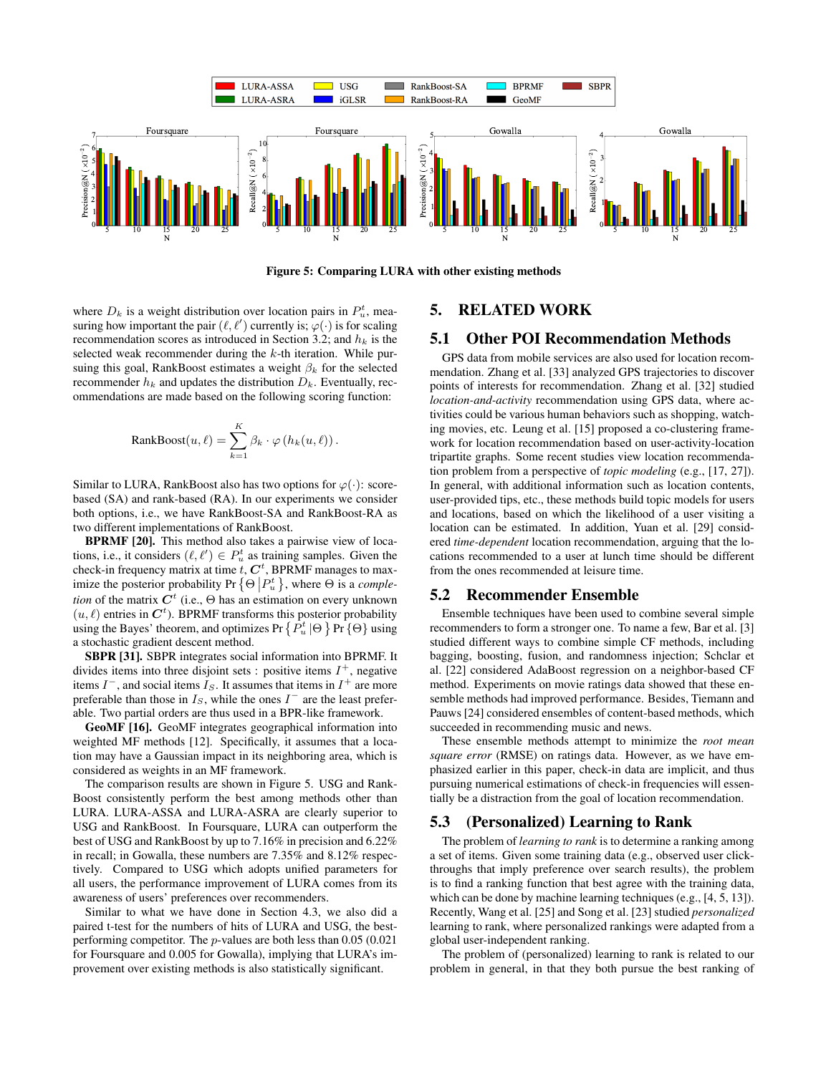

Figure 5: Comparing LURA with other existing methods

where  $D_k$  is a weight distribution over location pairs in  $P_u^t$ , measuring how important the pair  $(\ell, \ell')$  currently is;  $\varphi(\cdot)$  is for scaling recommendation scores as introduced in Section 3.2; and  $h_k$  is the selected weak recommender during the  $k$ -th iteration. While pursuing this goal, RankBoost estimates a weight  $\beta_k$  for the selected recommender  $h_k$  and updates the distribution  $D_k$ . Eventually, recommendations are made based on the following scoring function:

RankBoost
$$
(u, \ell)
$$
 =  $\sum_{k=1}^{K} \beta_k \cdot \varphi(h_k(u, \ell))$ .

Similar to LURA, RankBoost also has two options for  $\varphi(\cdot)$ : scorebased (SA) and rank-based (RA). In our experiments we consider both options, i.e., we have RankBoost-SA and RankBoost-RA as two different implementations of RankBoost.

BPRMF [20]. This method also takes a pairwise view of locations, i.e., it considers  $(\ell, \ell') \in P_u^t$  as training samples. Given the check-in frequency matrix at time  $t, C<sup>t</sup>$ , BPRMF manages to maximize the posterior probability Pr  $\{\Theta | P_u^t \}$ , where  $\Theta$  is a *completion* of the matrix  $C^t$  (i.e.,  $\Theta$  has an estimation on every unknown  $(u, l)$  entries in  $\mathbf{C}^t$ ). BPRMF transforms this posterior probability using the Bayes' theorem, and optimizes Pr  $\{P^t_u | \Theta\}$  Pr  $\{\Theta\}$  using a stochastic gradient descent method.

SBPR [31]. SBPR integrates social information into BPRMF. It divides items into three disjoint sets : positive items  $I^+$ , negative items  $I^-$ , and social items  $I_S$ . It assumes that items in  $I^+$  are more preferable than those in  $I<sub>S</sub>$ , while the ones  $I<sup>-</sup>$  are the least preferable. Two partial orders are thus used in a BPR-like framework.

GeoMF [16]. GeoMF integrates geographical information into weighted MF methods [12]. Specifically, it assumes that a location may have a Gaussian impact in its neighboring area, which is considered as weights in an MF framework.

The comparison results are shown in Figure 5. USG and Rank-Boost consistently perform the best among methods other than LURA. LURA-ASSA and LURA-ASRA are clearly superior to USG and RankBoost. In Foursquare, LURA can outperform the best of USG and RankBoost by up to 7.16% in precision and 6.22% in recall; in Gowalla, these numbers are 7.35% and 8.12% respectively. Compared to USG which adopts unified parameters for all users, the performance improvement of LURA comes from its awareness of users' preferences over recommenders.

Similar to what we have done in Section 4.3, we also did a paired t-test for the numbers of hits of LURA and USG, the bestperforming competitor. The p-values are both less than 0.05 (0.021 for Foursquare and 0.005 for Gowalla), implying that LURA's improvement over existing methods is also statistically significant.

## 5. RELATED WORK

## 5.1 Other POI Recommendation Methods

GPS data from mobile services are also used for location recommendation. Zhang et al. [33] analyzed GPS trajectories to discover points of interests for recommendation. Zhang et al. [32] studied *location-and-activity* recommendation using GPS data, where activities could be various human behaviors such as shopping, watching movies, etc. Leung et al. [15] proposed a co-clustering framework for location recommendation based on user-activity-location tripartite graphs. Some recent studies view location recommendation problem from a perspective of *topic modeling* (e.g., [17, 27]). In general, with additional information such as location contents, user-provided tips, etc., these methods build topic models for users and locations, based on which the likelihood of a user visiting a location can be estimated. In addition, Yuan et al. [29] considered *time-dependent* location recommendation, arguing that the locations recommended to a user at lunch time should be different from the ones recommended at leisure time.

## 5.2 Recommender Ensemble

Ensemble techniques have been used to combine several simple recommenders to form a stronger one. To name a few, Bar et al. [3] studied different ways to combine simple CF methods, including bagging, boosting, fusion, and randomness injection; Schclar et al. [22] considered AdaBoost regression on a neighbor-based CF method. Experiments on movie ratings data showed that these ensemble methods had improved performance. Besides, Tiemann and Pauws [24] considered ensembles of content-based methods, which succeeded in recommending music and news.

These ensemble methods attempt to minimize the *root mean square error* (RMSE) on ratings data. However, as we have emphasized earlier in this paper, check-in data are implicit, and thus pursuing numerical estimations of check-in frequencies will essentially be a distraction from the goal of location recommendation.

#### 5.3 (Personalized) Learning to Rank

The problem of *learning to rank* is to determine a ranking among a set of items. Given some training data (e.g., observed user clickthroughs that imply preference over search results), the problem is to find a ranking function that best agree with the training data, which can be done by machine learning techniques (e.g., [4, 5, 13]). Recently, Wang et al. [25] and Song et al. [23] studied *personalized* learning to rank, where personalized rankings were adapted from a global user-independent ranking.

The problem of (personalized) learning to rank is related to our problem in general, in that they both pursue the best ranking of